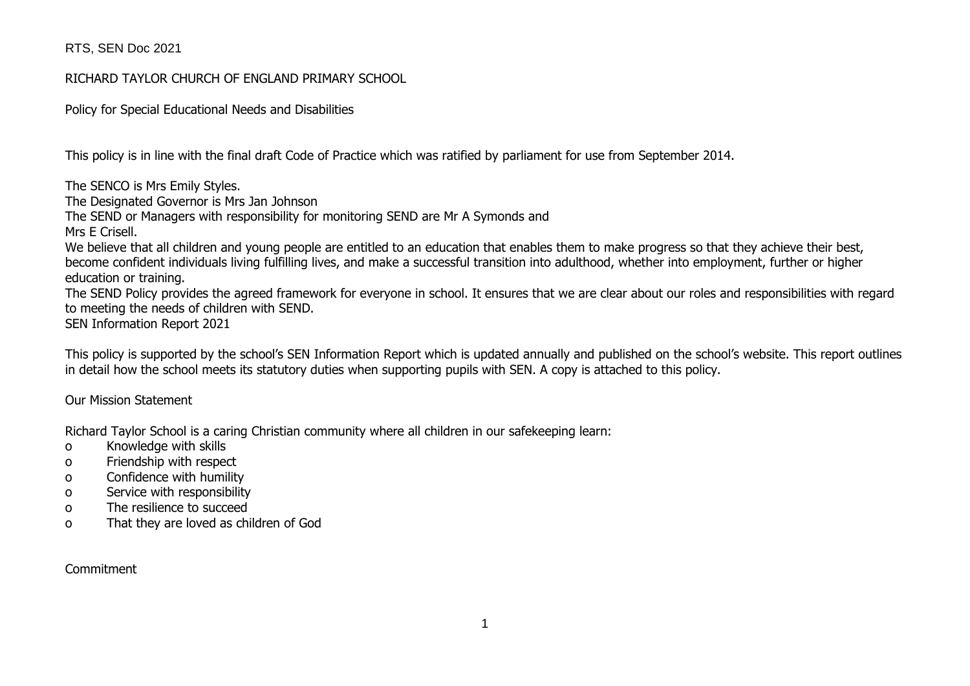### RICHARD TAYLOR CHURCH OF ENGLAND PRIMARY SCHOOL

Policy for Special Educational Needs and Disabilities

This policy is in line with the final draft Code of Practice which was ratified by parliament for use from September 2014.

The SENCO is Mrs Emily Styles. The Designated Governor is Mrs Jan Johnson The SEND or Managers with responsibility for monitoring SEND are Mr A Symonds and Mrs E Crisell. We believe that all children and young people are entitled to an education that enables them to make progress so that they achieve their best, become confident individuals living fulfilling lives, and make a successful transition into adulthood, whether into employment, further or higher education or training. The SEND Policy provides the agreed framework for everyone in school. It ensures that we are clear about our roles and responsibilities with regard

to meeting the needs of children with SEND.

SEN Information Report 2021

This policy is supported by the school's SEN Information Report which is updated annually and published on the school's website. This report outlines in detail how the school meets its statutory duties when supporting pupils with SEN. A copy is attached to this policy.

Our Mission Statement

Richard Taylor School is a caring Christian community where all children in our safekeeping learn:

- o Knowledge with skills
- o Friendship with respect
- o Confidence with humility
- o Service with responsibility
- o The resilience to succeed
- o That they are loved as children of God

**Commitment**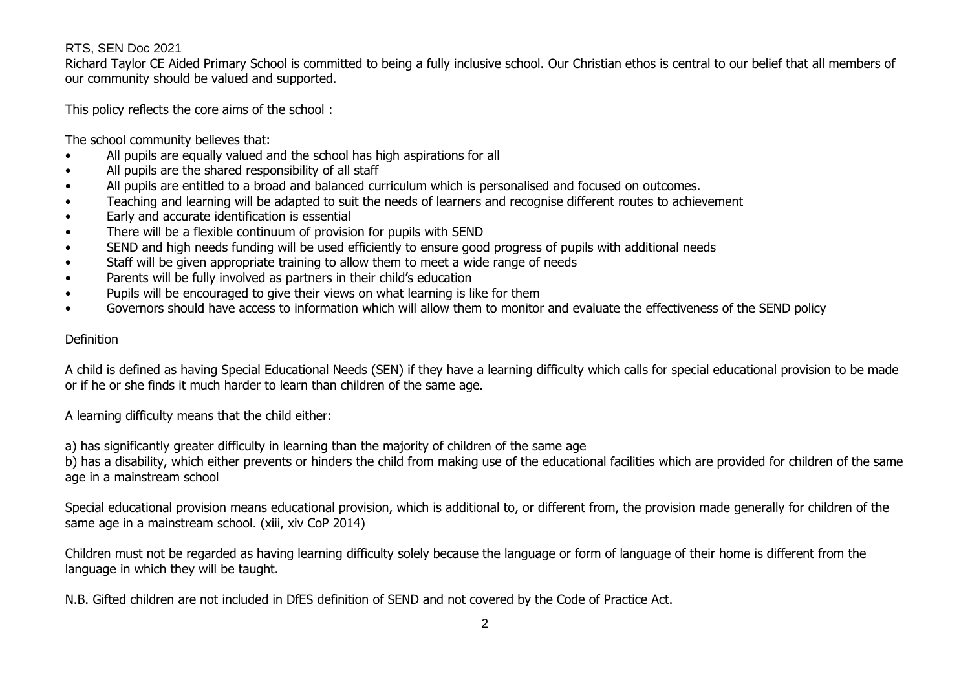Richard Taylor CE Aided Primary School is committed to being a fully inclusive school. Our Christian ethos is central to our belief that all members of our community should be valued and supported.

This policy reflects the core aims of the school :

The school community believes that:

- All pupils are equally valued and the school has high aspirations for all
- All pupils are the shared responsibility of all staff
- All pupils are entitled to a broad and balanced curriculum which is personalised and focused on outcomes.
- Teaching and learning will be adapted to suit the needs of learners and recognise different routes to achievement
- Early and accurate identification is essential
- There will be a flexible continuum of provision for pupils with SEND
- SEND and high needs funding will be used efficiently to ensure good progress of pupils with additional needs
- Staff will be given appropriate training to allow them to meet a wide range of needs
- Parents will be fully involved as partners in their child's education
- Pupils will be encouraged to give their views on what learning is like for them
- Governors should have access to information which will allow them to monitor and evaluate the effectiveness of the SEND policy

### Definition

A child is defined as having Special Educational Needs (SEN) if they have a learning difficulty which calls for special educational provision to be made or if he or she finds it much harder to learn than children of the same age.

A learning difficulty means that the child either:

a) has significantly greater difficulty in learning than the majority of children of the same age

b) has a disability, which either prevents or hinders the child from making use of the educational facilities which are provided for children of the same age in a mainstream school

Special educational provision means educational provision, which is additional to, or different from, the provision made generally for children of the same age in a mainstream school. (xiii, xiv CoP 2014)

Children must not be regarded as having learning difficulty solely because the language or form of language of their home is different from the language in which they will be taught.

N.B. Gifted children are not included in DfES definition of SEND and not covered by the Code of Practice Act.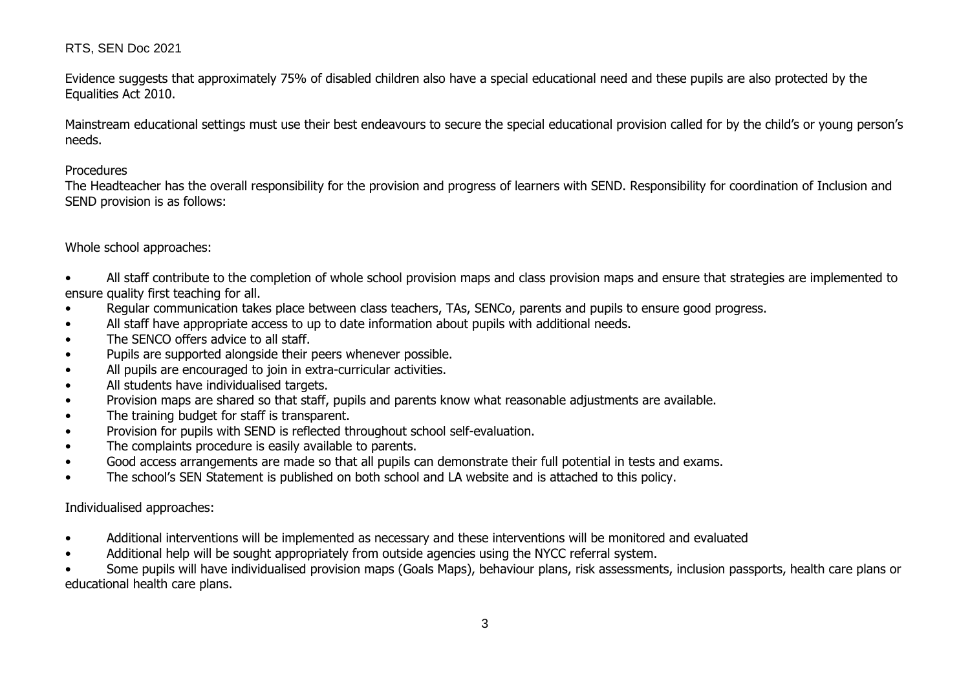Evidence suggests that approximately 75% of disabled children also have a special educational need and these pupils are also protected by the Equalities Act 2010.

Mainstream educational settings must use their best endeavours to secure the special educational provision called for by the child's or young person's needs.

#### **Procedures**

The Headteacher has the overall responsibility for the provision and progress of learners with SEND. Responsibility for coordination of Inclusion and SEND provision is as follows:

### Whole school approaches:

• All staff contribute to the completion of whole school provision maps and class provision maps and ensure that strategies are implemented to ensure quality first teaching for all.

- Regular communication takes place between class teachers, TAs, SENCo, parents and pupils to ensure good progress.
- All staff have appropriate access to up to date information about pupils with additional needs.
- The SENCO offers advice to all staff.
- Pupils are supported alongside their peers whenever possible.
- All pupils are encouraged to join in extra-curricular activities.
- All students have individualised targets.
- Provision maps are shared so that staff, pupils and parents know what reasonable adjustments are available.
- The training budget for staff is transparent.
- Provision for pupils with SEND is reflected throughout school self-evaluation.
- The complaints procedure is easily available to parents.
- Good access arrangements are made so that all pupils can demonstrate their full potential in tests and exams.
- The school's SEN Statement is published on both school and LA website and is attached to this policy.

#### Individualised approaches:

- Additional interventions will be implemented as necessary and these interventions will be monitored and evaluated
- Additional help will be sought appropriately from outside agencies using the NYCC referral system.

• Some pupils will have individualised provision maps (Goals Maps), behaviour plans, risk assessments, inclusion passports, health care plans or educational health care plans.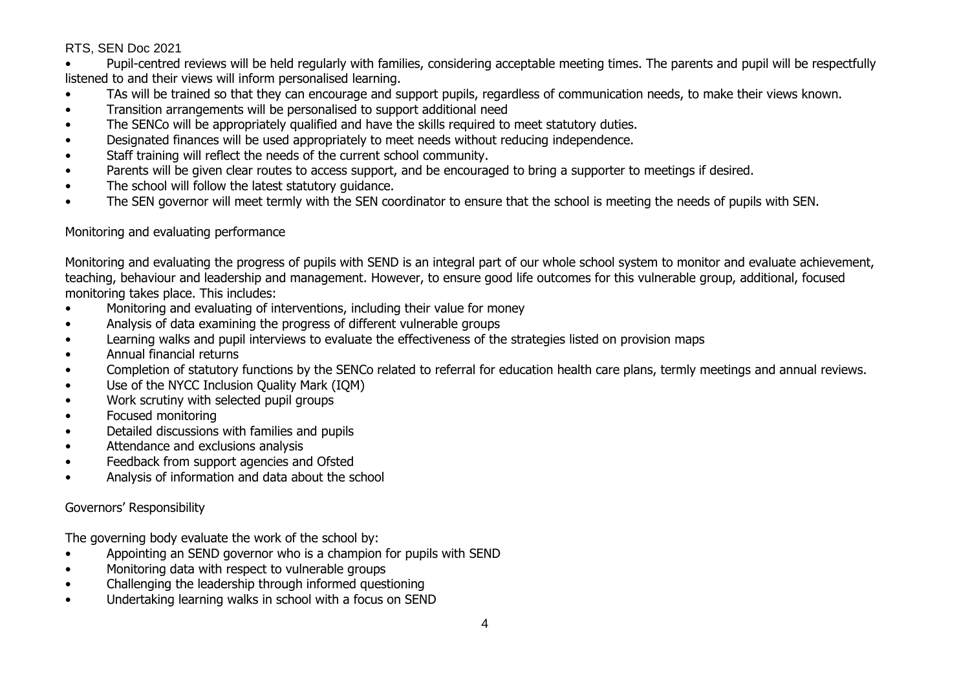• Pupil-centred reviews will be held regularly with families, considering acceptable meeting times. The parents and pupil will be respectfully listened to and their views will inform personalised learning.

- TAs will be trained so that they can encourage and support pupils, regardless of communication needs, to make their views known.
- Transition arrangements will be personalised to support additional need
- The SENCo will be appropriately qualified and have the skills required to meet statutory duties.
- Designated finances will be used appropriately to meet needs without reducing independence.
- Staff training will reflect the needs of the current school community.
- Parents will be given clear routes to access support, and be encouraged to bring a supporter to meetings if desired.
- The school will follow the latest statutory guidance.
- The SEN governor will meet termly with the SEN coordinator to ensure that the school is meeting the needs of pupils with SEN.

### Monitoring and evaluating performance

Monitoring and evaluating the progress of pupils with SEND is an integral part of our whole school system to monitor and evaluate achievement, teaching, behaviour and leadership and management. However, to ensure good life outcomes for this vulnerable group, additional, focused monitoring takes place. This includes:

- Monitoring and evaluating of interventions, including their value for money
- Analysis of data examining the progress of different vulnerable groups
- Learning walks and pupil interviews to evaluate the effectiveness of the strategies listed on provision maps
- Annual financial returns
- Completion of statutory functions by the SENCo related to referral for education health care plans, termly meetings and annual reviews.
- Use of the NYCC Inclusion Quality Mark (IQM)
- Work scrutiny with selected pupil groups
- Focused monitoring
- Detailed discussions with families and pupils
- Attendance and exclusions analysis
- Feedback from support agencies and Ofsted
- Analysis of information and data about the school

### Governors' Responsibility

The governing body evaluate the work of the school by:

- Appointing an SEND governor who is a champion for pupils with SEND
- Monitoring data with respect to vulnerable groups
- Challenging the leadership through informed questioning
- Undertaking learning walks in school with a focus on SEND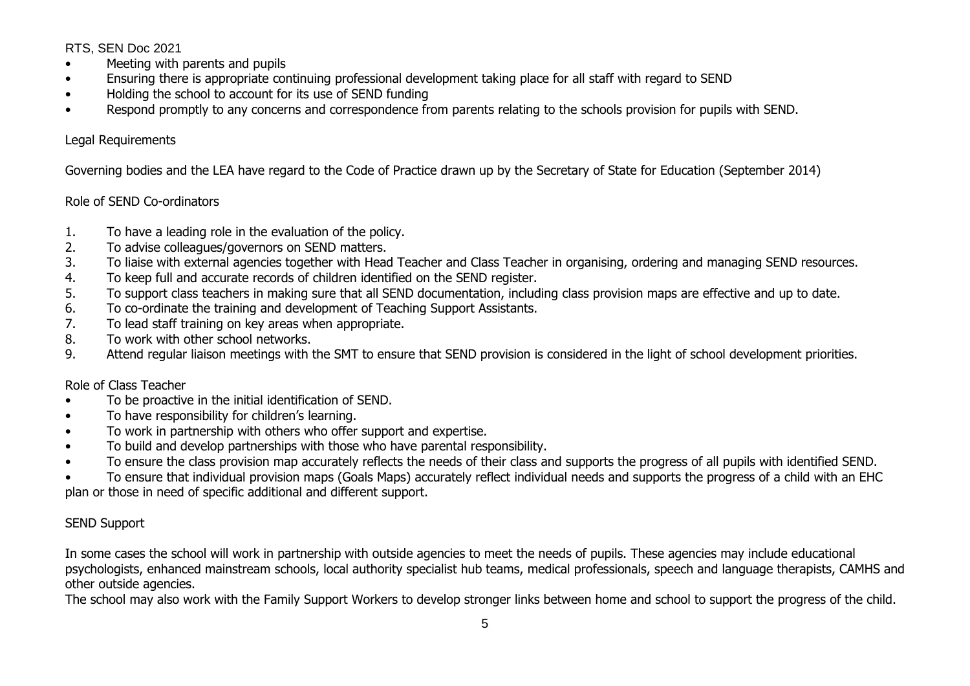- Meeting with parents and pupils
- Ensuring there is appropriate continuing professional development taking place for all staff with regard to SEND
- Holding the school to account for its use of SEND funding
- Respond promptly to any concerns and correspondence from parents relating to the schools provision for pupils with SEND.

### Legal Requirements

Governing bodies and the LEA have regard to the Code of Practice drawn up by the Secretary of State for Education (September 2014)

# Role of SEND Co-ordinators

- 1. To have a leading role in the evaluation of the policy.
- 2. To advise colleagues/governors on SEND matters.
- 3. To liaise with external agencies together with Head Teacher and Class Teacher in organising, ordering and managing SEND resources.
- 4. To keep full and accurate records of children identified on the SEND register.
- 5. To support class teachers in making sure that all SEND documentation, including class provision maps are effective and up to date.
- 6. To co-ordinate the training and development of Teaching Support Assistants.
- 7. To lead staff training on key areas when appropriate.
- 8. To work with other school networks.
- 9. Attend regular liaison meetings with the SMT to ensure that SEND provision is considered in the light of school development priorities.

# Role of Class Teacher

- To be proactive in the initial identification of SEND.
- To have responsibility for children's learning.
- To work in partnership with others who offer support and expertise.
- To build and develop partnerships with those who have parental responsibility.
- To ensure the class provision map accurately reflects the needs of their class and supports the progress of all pupils with identified SEND.

• To ensure that individual provision maps (Goals Maps) accurately reflect individual needs and supports the progress of a child with an EHC plan or those in need of specific additional and different support.

# SEND Support

In some cases the school will work in partnership with outside agencies to meet the needs of pupils. These agencies may include educational psychologists, enhanced mainstream schools, local authority specialist hub teams, medical professionals, speech and language therapists, CAMHS and other outside agencies.

The school may also work with the Family Support Workers to develop stronger links between home and school to support the progress of the child.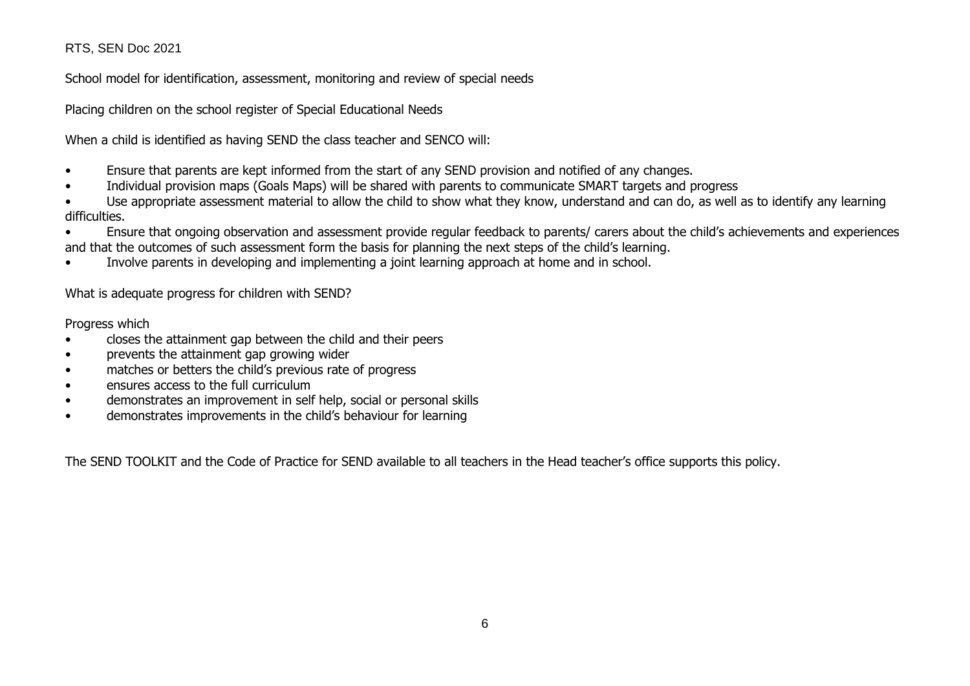School model for identification, assessment, monitoring and review of special needs

Placing children on the school register of Special Educational Needs

When a child is identified as having SEND the class teacher and SENCO will:

- Ensure that parents are kept informed from the start of any SEND provision and notified of any changes.
- Individual provision maps (Goals Maps) will be shared with parents to communicate SMART targets and progress
- Use appropriate assessment material to allow the child to show what they know, understand and can do, as well as to identify any learning difficulties.

• Ensure that ongoing observation and assessment provide regular feedback to parents/ carers about the child's achievements and experiences and that the outcomes of such assessment form the basis for planning the next steps of the child's learning.

• Involve parents in developing and implementing a joint learning approach at home and in school.

What is adequate progress for children with SEND?

Progress which

- closes the attainment gap between the child and their peers
- prevents the attainment gap growing wider
- matches or betters the child's previous rate of progress
- ensures access to the full curriculum
- demonstrates an improvement in self help, social or personal skills
- demonstrates improvements in the child's behaviour for learning

The SEND TOOLKIT and the Code of Practice for SEND available to all teachers in the Head teacher's office supports this policy.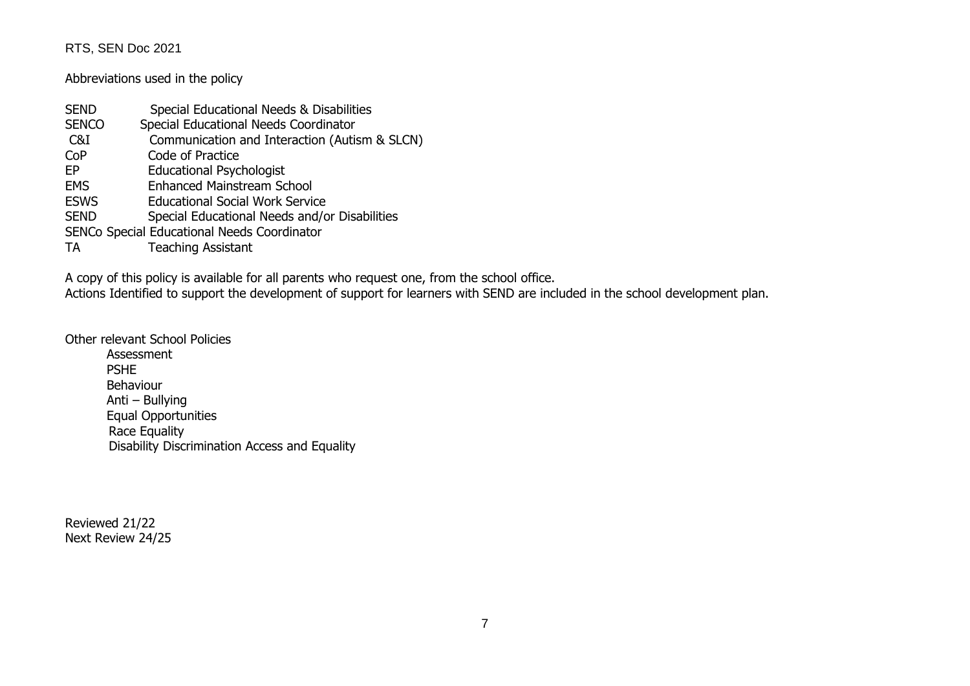Abbreviations used in the policy

| <b>SEND</b>  | Special Educational Needs & Disabilities      |
|--------------|-----------------------------------------------|
| <b>SENCO</b> | Special Educational Needs Coordinator         |
| C&I          | Communication and Interaction (Autism & SLCN) |
| CoP          | Code of Practice                              |
| EP           | <b>Educational Psychologist</b>               |
| <b>EMS</b>   | <b>Enhanced Mainstream School</b>             |
| <b>ESWS</b>  | <b>Educational Social Work Service</b>        |
| <b>SEND</b>  | Special Educational Needs and/or Disabilities |
|              | SENCo Special Educational Needs Coordinator   |
| TA           | <b>Teaching Assistant</b>                     |

A copy of this policy is available for all parents who request one, from the school office.

Actions Identified to support the development of support for learners with SEND are included in the school development plan.

Other relevant School Policies

Assessment PSHE Behaviour Anti – Bullying Equal Opportunities Race Equality Disability Discrimination Access and Equality

Reviewed 21/22 Next Review 24/25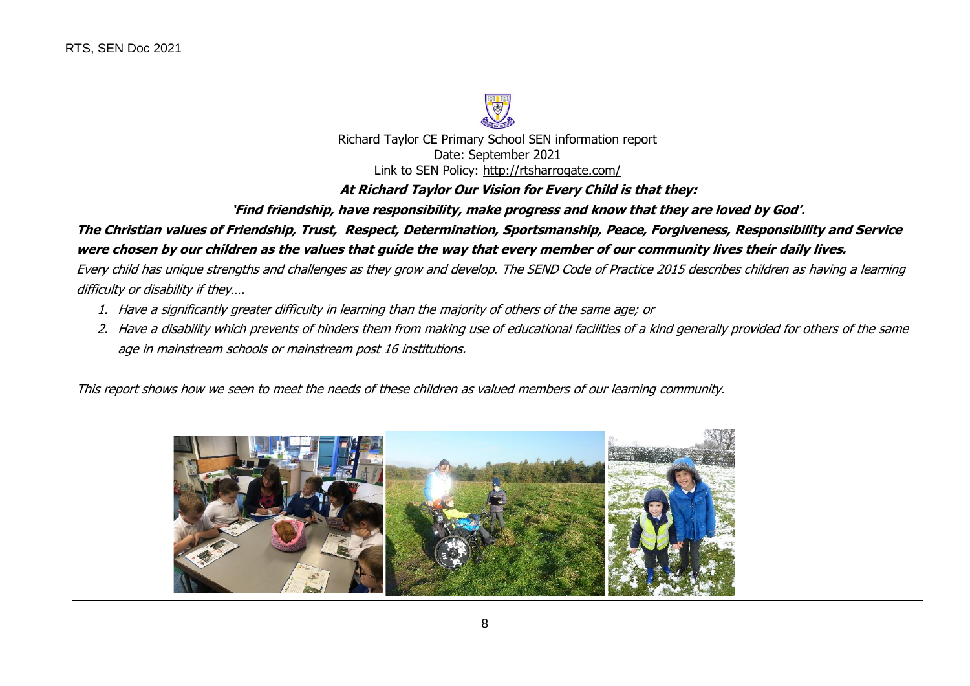

Richard Taylor CE Primary School SEN information report Date: September 2021 Link to SEN Policy: <http://rtsharrogate.com/>

**At Richard Taylor Our Vision for Every Child is that they:**

**'Find friendship, have responsibility, make progress and know that they are loved by God'.**

**The Christian values of Friendship, Trust, Respect, Determination, Sportsmanship, Peace, Forgiveness, Responsibility and Service were chosen by our children as the values that guide the way that every member of our community lives their daily lives.**

Every child has unique strengths and challenges as they grow and develop. The SEND Code of Practice 2015 describes children as having a learning difficulty or disability if they….

- 1. Have a significantly greater difficulty in learning than the majority of others of the same age; or
- 2. Have a disability which prevents of hinders them from making use of educational facilities of a kind generally provided for others of the same age in mainstream schools or mainstream post 16 institutions.

This report shows how we seen to meet the needs of these children as valued members of our learning community.

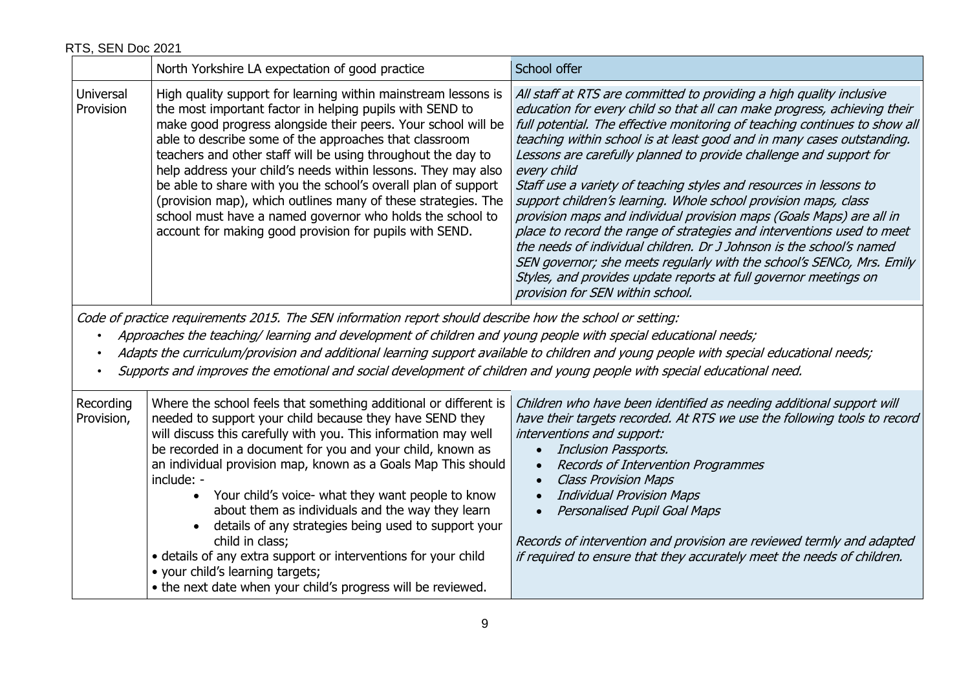|                        | North Yorkshire LA expectation of good practice                                                                                                                                                                                                                                                                                                                                                                                                                                                                                                                                                                                                   | School offer                                                                                                                                                                                                                                                                                                                                                                                                                                                                                                                                                                                                                                                                                                                                                                                                                                                                                                                                      |
|------------------------|---------------------------------------------------------------------------------------------------------------------------------------------------------------------------------------------------------------------------------------------------------------------------------------------------------------------------------------------------------------------------------------------------------------------------------------------------------------------------------------------------------------------------------------------------------------------------------------------------------------------------------------------------|---------------------------------------------------------------------------------------------------------------------------------------------------------------------------------------------------------------------------------------------------------------------------------------------------------------------------------------------------------------------------------------------------------------------------------------------------------------------------------------------------------------------------------------------------------------------------------------------------------------------------------------------------------------------------------------------------------------------------------------------------------------------------------------------------------------------------------------------------------------------------------------------------------------------------------------------------|
| Universal<br>Provision | High quality support for learning within mainstream lessons is<br>the most important factor in helping pupils with SEND to<br>make good progress alongside their peers. Your school will be<br>able to describe some of the approaches that classroom<br>teachers and other staff will be using throughout the day to<br>help address your child's needs within lessons. They may also<br>be able to share with you the school's overall plan of support<br>(provision map), which outlines many of these strategies. The<br>school must have a named governor who holds the school to<br>account for making good provision for pupils with SEND. | All staff at RTS are committed to providing a high quality inclusive<br>education for every child so that all can make progress, achieving their<br>full potential. The effective monitoring of teaching continues to show all<br>teaching within school is at least good and in many cases outstanding.<br>Lessons are carefully planned to provide challenge and support for<br>every child<br>Staff use a variety of teaching styles and resources in lessons to<br>support children's learning. Whole school provision maps, class<br>provision maps and individual provision maps (Goals Maps) are all in<br>place to record the range of strategies and interventions used to meet<br>the needs of individual children. Dr J Johnson is the school's named<br>SEN governor; she meets regularly with the school's SENCo, Mrs. Emily<br>Styles, and provides update reports at full governor meetings on<br>provision for SEN within school. |

Code of practice requirements 2015. The SEN information report should describe how the school or setting:

• Approaches the teaching/ learning and development of children and young people with special educational needs;

- Adapts the curriculum/provision and additional learning support available to children and young people with special educational needs;
- Supports and improves the emotional and social development of children and young people with special educational need.

| Recording<br>Provision, | Where the school feels that something additional or different is<br>needed to support your child because they have SEND they<br>will discuss this carefully with you. This information may well<br>be recorded in a document for you and your child, known as<br>an individual provision map, known as a Goals Map This should<br>include: -<br>• Your child's voice- what they want people to know<br>about them as individuals and the way they learn<br>details of any strategies being used to support your<br>child in class;<br>• details of any extra support or interventions for your child<br>• your child's learning targets;<br>• the next date when your child's progress will be reviewed. | Children who have been identified as needing additional support will<br>have their targets recorded. At RTS we use the following tools to record<br>interventions and support:<br>Inclusion Passports.<br><b>Records of Intervention Programmes</b><br><b>Class Provision Maps</b><br><b>Individual Provision Maps</b><br><b>Personalised Pupil Goal Maps</b><br>Records of intervention and provision are reviewed termly and adapted<br>if required to ensure that they accurately meet the needs of children. |
|-------------------------|----------------------------------------------------------------------------------------------------------------------------------------------------------------------------------------------------------------------------------------------------------------------------------------------------------------------------------------------------------------------------------------------------------------------------------------------------------------------------------------------------------------------------------------------------------------------------------------------------------------------------------------------------------------------------------------------------------|------------------------------------------------------------------------------------------------------------------------------------------------------------------------------------------------------------------------------------------------------------------------------------------------------------------------------------------------------------------------------------------------------------------------------------------------------------------------------------------------------------------|
|-------------------------|----------------------------------------------------------------------------------------------------------------------------------------------------------------------------------------------------------------------------------------------------------------------------------------------------------------------------------------------------------------------------------------------------------------------------------------------------------------------------------------------------------------------------------------------------------------------------------------------------------------------------------------------------------------------------------------------------------|------------------------------------------------------------------------------------------------------------------------------------------------------------------------------------------------------------------------------------------------------------------------------------------------------------------------------------------------------------------------------------------------------------------------------------------------------------------------------------------------------------------|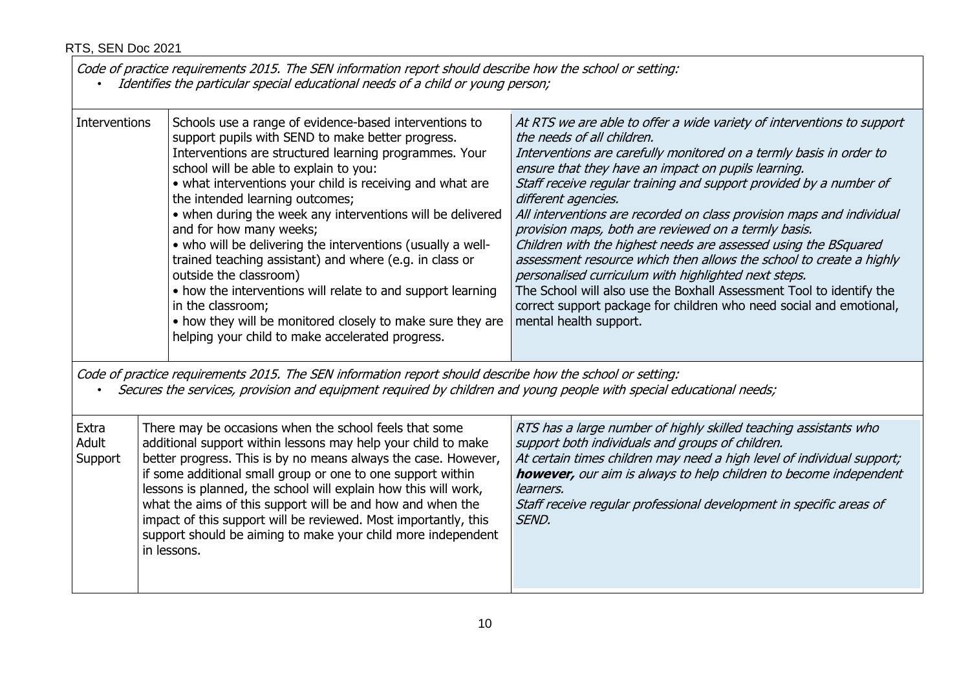in lessons.

Code of practice requirements 2015. The SEN information report should describe how the school or setting:

• Identifies the particular special educational needs of <sup>a</sup> child or young person;

support should be aiming to make your child more independent

| Interventions             | Schools use a range of evidence-based interventions to<br>support pupils with SEND to make better progress.<br>Interventions are structured learning programmes. Your<br>school will be able to explain to you:<br>• what interventions your child is receiving and what are<br>the intended learning outcomes;<br>• when during the week any interventions will be delivered<br>and for how many weeks;<br>• who will be delivering the interventions (usually a well-<br>trained teaching assistant) and where (e.g. in class or<br>outside the classroom)<br>• how the interventions will relate to and support learning<br>in the classroom;<br>• how they will be monitored closely to make sure they are<br>helping your child to make accelerated progress. | At RTS we are able to offer a wide variety of interventions to support<br>the needs of all children.<br>Interventions are carefully monitored on a termly basis in order to<br>ensure that they have an impact on pupils learning.<br>Staff receive regular training and support provided by a number of<br>different agencies.<br>All interventions are recorded on class provision maps and individual<br>provision maps, both are reviewed on a termly basis.<br>Children with the highest needs are assessed using the BSquared<br>assessment resource which then allows the school to create a highly<br>personalised curriculum with highlighted next steps.<br>The School will also use the Boxhall Assessment Tool to identify the<br>correct support package for children who need social and emotional,<br>mental health support. |
|---------------------------|--------------------------------------------------------------------------------------------------------------------------------------------------------------------------------------------------------------------------------------------------------------------------------------------------------------------------------------------------------------------------------------------------------------------------------------------------------------------------------------------------------------------------------------------------------------------------------------------------------------------------------------------------------------------------------------------------------------------------------------------------------------------|---------------------------------------------------------------------------------------------------------------------------------------------------------------------------------------------------------------------------------------------------------------------------------------------------------------------------------------------------------------------------------------------------------------------------------------------------------------------------------------------------------------------------------------------------------------------------------------------------------------------------------------------------------------------------------------------------------------------------------------------------------------------------------------------------------------------------------------------|
|                           | Code of practice requirements 2015. The SEN information report should describe how the school or setting:<br>Secures the services, provision and equipment required by children and young people with special educational needs;                                                                                                                                                                                                                                                                                                                                                                                                                                                                                                                                   |                                                                                                                                                                                                                                                                                                                                                                                                                                                                                                                                                                                                                                                                                                                                                                                                                                             |
| Extra<br>Adult<br>Support | There may be occasions when the school feels that some<br>additional support within lessons may help your child to make<br>better progress. This is by no means always the case. However,<br>if some additional small group or one to one support within<br>lessons is planned, the school will explain how this will work,<br>what the aims of this support will be and how and when the<br>impact of this support will be reviewed. Most importantly, this                                                                                                                                                                                                                                                                                                       | RTS has a large number of highly skilled teaching assistants who<br>support both individuals and groups of children.<br>At certain times children may need a high level of individual support;<br><b>however,</b> our aim is always to help children to become independent<br>learners.<br>Staff receive regular professional development in specific areas of<br>SEND.                                                                                                                                                                                                                                                                                                                                                                                                                                                                     |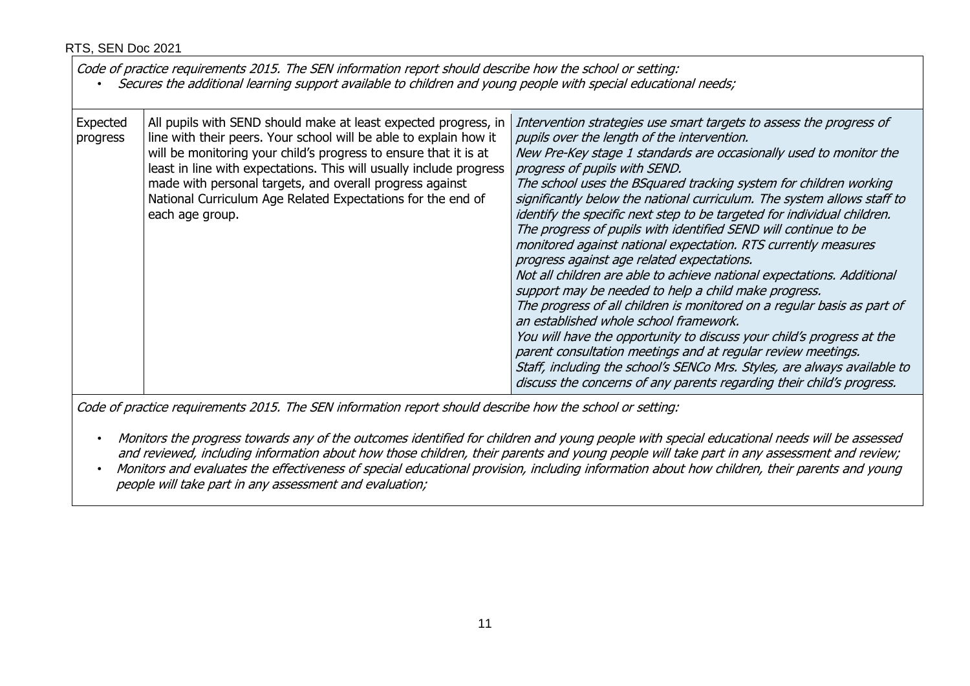| Code of practice requirements 2015. The SEN information report should describe how the school or setting:<br>Secures the additional learning support available to children and young people with special educational needs; |                                                                                                                                                                                                                                                                                                                                                                                                                               |                                                                                                                                                                                                                                                                                                                                                                                                                                                                                                                                                                                                                                                                                                                                                                                                                                                                                                                                                                                                                                                                                                                                                                                              |  |
|-----------------------------------------------------------------------------------------------------------------------------------------------------------------------------------------------------------------------------|-------------------------------------------------------------------------------------------------------------------------------------------------------------------------------------------------------------------------------------------------------------------------------------------------------------------------------------------------------------------------------------------------------------------------------|----------------------------------------------------------------------------------------------------------------------------------------------------------------------------------------------------------------------------------------------------------------------------------------------------------------------------------------------------------------------------------------------------------------------------------------------------------------------------------------------------------------------------------------------------------------------------------------------------------------------------------------------------------------------------------------------------------------------------------------------------------------------------------------------------------------------------------------------------------------------------------------------------------------------------------------------------------------------------------------------------------------------------------------------------------------------------------------------------------------------------------------------------------------------------------------------|--|
| Expected<br>progress                                                                                                                                                                                                        | All pupils with SEND should make at least expected progress, in<br>line with their peers. Your school will be able to explain how it<br>will be monitoring your child's progress to ensure that it is at<br>least in line with expectations. This will usually include progress<br>made with personal targets, and overall progress against<br>National Curriculum Age Related Expectations for the end of<br>each age group. | Intervention strategies use smart targets to assess the progress of<br>pupils over the length of the intervention.<br>New Pre-Key stage 1 standards are occasionally used to monitor the<br>progress of pupils with SEND.<br>The school uses the BSquared tracking system for children working<br>significantly below the national curriculum. The system allows staff to<br>identify the specific next step to be targeted for individual children.<br>The progress of pupils with identified SEND will continue to be<br>monitored against national expectation. RTS currently measures<br>progress against age related expectations.<br>Not all children are able to achieve national expectations. Additional<br>support may be needed to help a child make progress.<br>The progress of all children is monitored on a regular basis as part of<br>an established whole school framework.<br>You will have the opportunity to discuss your child's progress at the<br>parent consultation meetings and at regular review meetings.<br>Staff, including the school's SENCo Mrs. Styles, are always available to<br>discuss the concerns of any parents regarding their child's progress. |  |

Code of practice requirements 2015. The SEN information report should describe how the school or setting:

- Monitors the progress towards any of the outcomes identified for children and young people with special educational needs will be assessed and reviewed, including information about how those children, their parents and young people will take part in any assessment and review;
- Monitors and evaluates the effectiveness of special educational provision, including information about how children, their parents and young people will take part in any assessment and evaluation;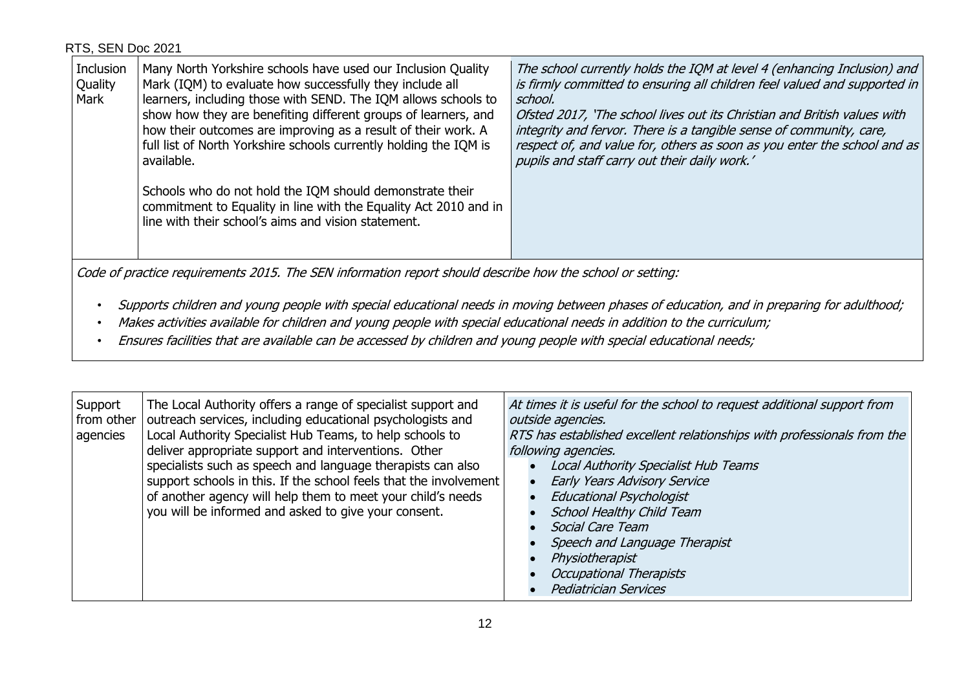| Inclusion<br>Quality<br>Mark | Many North Yorkshire schools have used our Inclusion Quality<br>Mark (IQM) to evaluate how successfully they include all<br>learners, including those with SEND. The IQM allows schools to<br>show how they are benefiting different groups of learners, and<br>how their outcomes are improving as a result of their work. A<br>full list of North Yorkshire schools currently holding the IQM is<br>available. | The school currently holds the IQM at level 4 (enhancing Inclusion) and<br>is firmly committed to ensuring all children feel valued and supported in<br>school.<br>Ofsted 2017, 'The school lives out its Christian and British values with<br>integrity and fervor. There is a tangible sense of community, care,<br>respect of, and value for, others as soon as you enter the school and as<br>pupils and staff carry out their daily work.' |
|------------------------------|------------------------------------------------------------------------------------------------------------------------------------------------------------------------------------------------------------------------------------------------------------------------------------------------------------------------------------------------------------------------------------------------------------------|-------------------------------------------------------------------------------------------------------------------------------------------------------------------------------------------------------------------------------------------------------------------------------------------------------------------------------------------------------------------------------------------------------------------------------------------------|
|                              | Schools who do not hold the IQM should demonstrate their<br>commitment to Equality in line with the Equality Act 2010 and in<br>line with their school's aims and vision statement.                                                                                                                                                                                                                              |                                                                                                                                                                                                                                                                                                                                                                                                                                                 |

Code of practice requirements 2015. The SEN information report should describe how the school or setting:

- Supports children and young people with special educational needs in moving between phases of education, and in preparing for adulthood;
- Makes activities available for children and young people with special educational needs in addition to the curriculum;
- Ensures facilities that are available can be accessed by children and young people with special educational needs;

| Support<br>from other<br>agencies | The Local Authority offers a range of specialist support and<br>outreach services, including educational psychologists and<br>Local Authority Specialist Hub Teams, to help schools to<br>deliver appropriate support and interventions. Other<br>specialists such as speech and language therapists can also<br>support schools in this. If the school feels that the involvement<br>of another agency will help them to meet your child's needs<br>you will be informed and asked to give your consent. | At times it is useful for the school to request additional support from<br>outside agencies.<br>RTS has established excellent relationships with professionals from the<br>following agencies.<br>Local Authority Specialist Hub Teams<br><b>Early Years Advisory Service</b><br><b>Educational Psychologist</b><br><b>School Healthy Child Team</b><br>Social Care Team<br>Speech and Language Therapist<br>Physiotherapist<br><b>Occupational Therapists</b><br><b>Pediatrician Services</b> |
|-----------------------------------|-----------------------------------------------------------------------------------------------------------------------------------------------------------------------------------------------------------------------------------------------------------------------------------------------------------------------------------------------------------------------------------------------------------------------------------------------------------------------------------------------------------|------------------------------------------------------------------------------------------------------------------------------------------------------------------------------------------------------------------------------------------------------------------------------------------------------------------------------------------------------------------------------------------------------------------------------------------------------------------------------------------------|
|-----------------------------------|-----------------------------------------------------------------------------------------------------------------------------------------------------------------------------------------------------------------------------------------------------------------------------------------------------------------------------------------------------------------------------------------------------------------------------------------------------------------------------------------------------------|------------------------------------------------------------------------------------------------------------------------------------------------------------------------------------------------------------------------------------------------------------------------------------------------------------------------------------------------------------------------------------------------------------------------------------------------------------------------------------------------|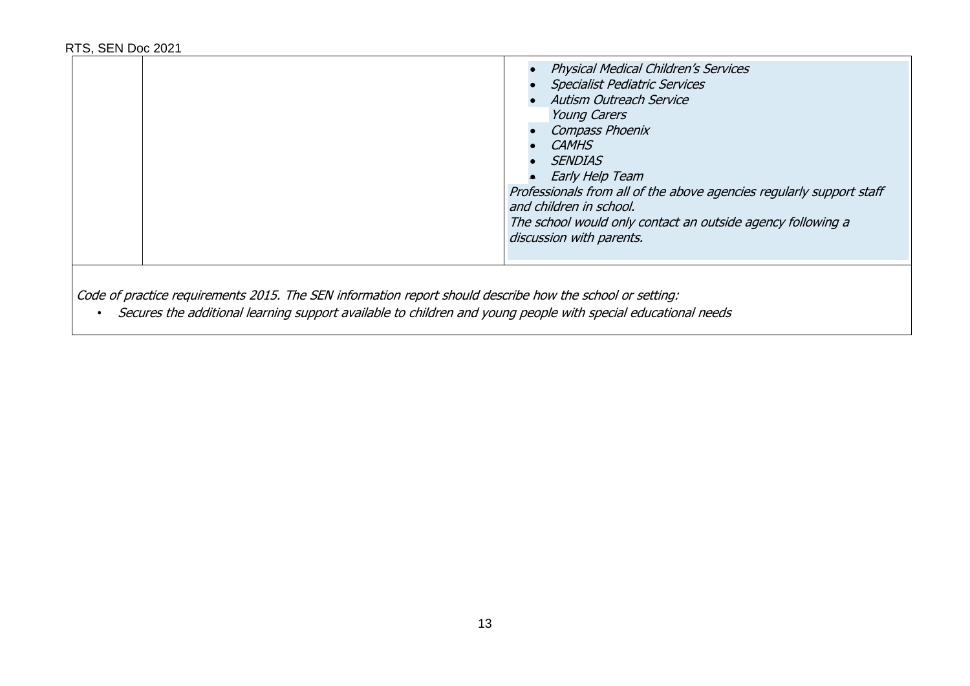|  | <b>Physical Medical Children's Services</b><br><b>Specialist Pediatric Services</b><br><b>Autism Outreach Service</b><br><b>Young Carers</b><br>Compass Phoenix<br><b>CAMHS</b><br><b>SENDIAS</b><br>Early Help Team<br>Professionals from all of the above agencies regularly support staff<br>and children in school.<br>The school would only contact an outside agency following a<br>discussion with parents. |
|--|--------------------------------------------------------------------------------------------------------------------------------------------------------------------------------------------------------------------------------------------------------------------------------------------------------------------------------------------------------------------------------------------------------------------|
|--|--------------------------------------------------------------------------------------------------------------------------------------------------------------------------------------------------------------------------------------------------------------------------------------------------------------------------------------------------------------------------------------------------------------------|

Code of practice requirements 2015. The SEN information report should describe how the school or setting:

• Secures the additional learning support available to children and young people with special educational needs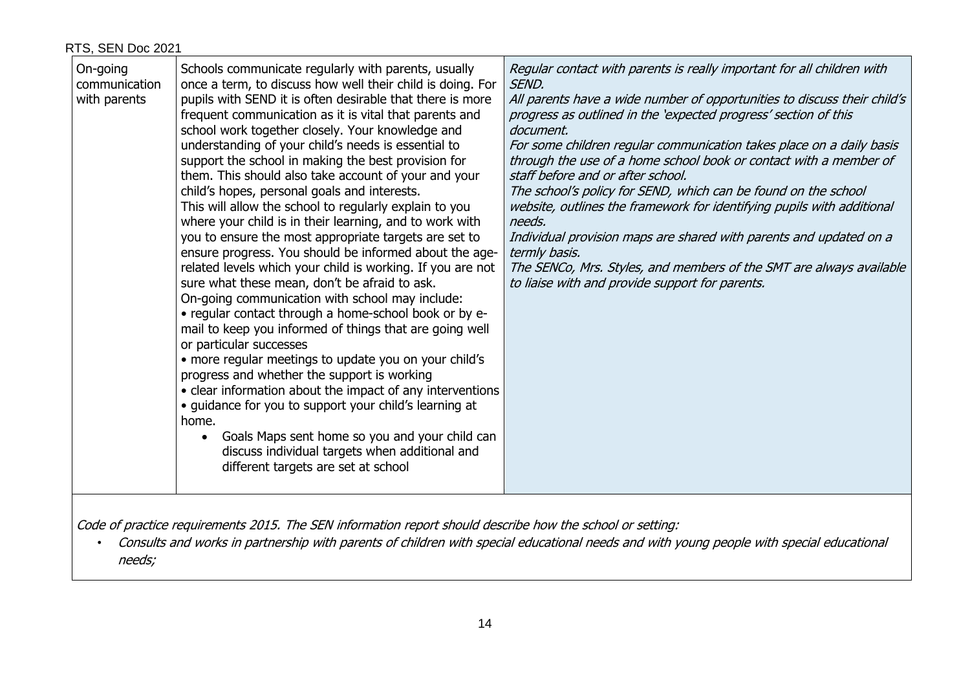| On-going<br>Schools communicate regularly with parents, usually<br>once a term, to discuss how well their child is doing. For<br>communication<br>pupils with SEND it is often desirable that there is more<br>with parents<br>frequent communication as it is vital that parents and<br>school work together closely. Your knowledge and<br>understanding of your child's needs is essential to<br>support the school in making the best provision for<br>them. This should also take account of your and your<br>child's hopes, personal goals and interests.<br>This will allow the school to regularly explain to you<br>where your child is in their learning, and to work with<br>you to ensure the most appropriate targets are set to<br>ensure progress. You should be informed about the age-<br>related levels which your child is working. If you are not<br>sure what these mean, don't be afraid to ask.<br>On-going communication with school may include:<br>• regular contact through a home-school book or by e-<br>mail to keep you informed of things that are going well<br>or particular successes<br>• more regular meetings to update you on your child's<br>progress and whether the support is working<br>• clear information about the impact of any interventions<br>• guidance for you to support your child's learning at<br>home.<br>Goals Maps sent home so you and your child can<br>discuss individual targets when additional and<br>different targets are set at school | Regular contact with parents is really important for all children with<br>SEND.<br>All parents have a wide number of opportunities to discuss their child's<br>progress as outlined in the 'expected progress' section of this<br>document.<br>For some children regular communication takes place on a daily basis<br>through the use of a home school book or contact with a member of<br>staff before and or after school.<br>The school's policy for SEND, which can be found on the school<br>website, outlines the framework for identifying pupils with additional<br>needs.<br>Individual provision maps are shared with parents and updated on a<br>termly basis.<br>The SENCo, Mrs. Styles, and members of the SMT are always available<br>to liaise with and provide support for parents. |
|-------------------------------------------------------------------------------------------------------------------------------------------------------------------------------------------------------------------------------------------------------------------------------------------------------------------------------------------------------------------------------------------------------------------------------------------------------------------------------------------------------------------------------------------------------------------------------------------------------------------------------------------------------------------------------------------------------------------------------------------------------------------------------------------------------------------------------------------------------------------------------------------------------------------------------------------------------------------------------------------------------------------------------------------------------------------------------------------------------------------------------------------------------------------------------------------------------------------------------------------------------------------------------------------------------------------------------------------------------------------------------------------------------------------------------------------------------------------------------------------------------------|------------------------------------------------------------------------------------------------------------------------------------------------------------------------------------------------------------------------------------------------------------------------------------------------------------------------------------------------------------------------------------------------------------------------------------------------------------------------------------------------------------------------------------------------------------------------------------------------------------------------------------------------------------------------------------------------------------------------------------------------------------------------------------------------------|
|-------------------------------------------------------------------------------------------------------------------------------------------------------------------------------------------------------------------------------------------------------------------------------------------------------------------------------------------------------------------------------------------------------------------------------------------------------------------------------------------------------------------------------------------------------------------------------------------------------------------------------------------------------------------------------------------------------------------------------------------------------------------------------------------------------------------------------------------------------------------------------------------------------------------------------------------------------------------------------------------------------------------------------------------------------------------------------------------------------------------------------------------------------------------------------------------------------------------------------------------------------------------------------------------------------------------------------------------------------------------------------------------------------------------------------------------------------------------------------------------------------------|------------------------------------------------------------------------------------------------------------------------------------------------------------------------------------------------------------------------------------------------------------------------------------------------------------------------------------------------------------------------------------------------------------------------------------------------------------------------------------------------------------------------------------------------------------------------------------------------------------------------------------------------------------------------------------------------------------------------------------------------------------------------------------------------------|

Code of practice requirements 2015. The SEN information report should describe how the school or setting:

• Consults and works in partnership with parents of children with special educational needs and with young people with special educational needs;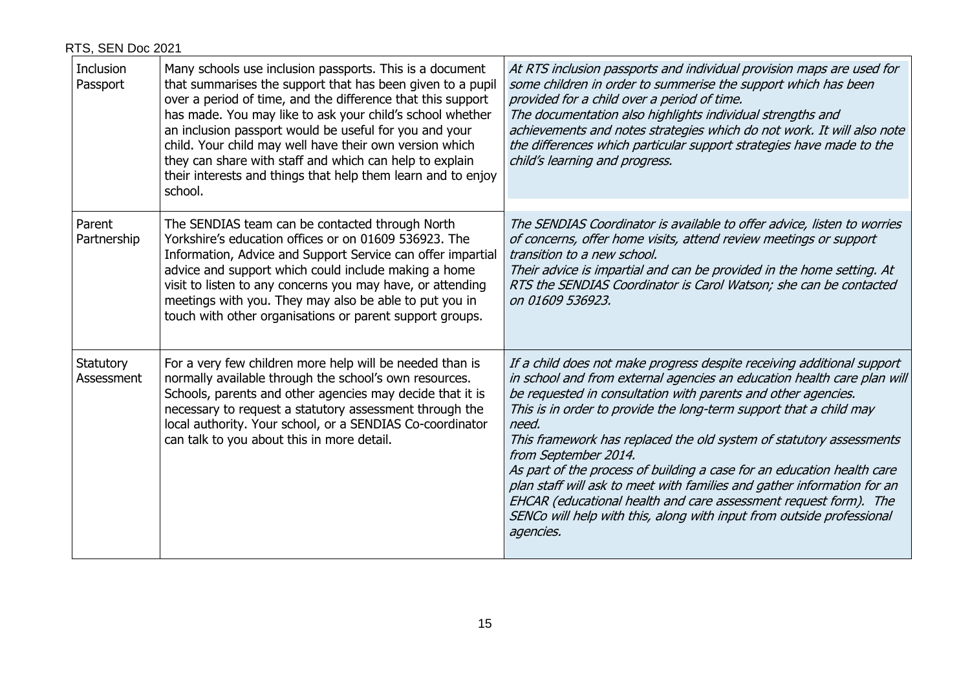| Inclusion<br>Passport   | Many schools use inclusion passports. This is a document<br>that summarises the support that has been given to a pupil<br>over a period of time, and the difference that this support<br>has made. You may like to ask your child's school whether<br>an inclusion passport would be useful for you and your<br>child. Your child may well have their own version which<br>they can share with staff and which can help to explain<br>their interests and things that help them learn and to enjoy<br>school. | At RTS inclusion passports and individual provision maps are used for<br>some children in order to summerise the support which has been<br>provided for a child over a period of time.<br>The documentation also highlights individual strengths and<br>achievements and notes strategies which do not work. It will also note<br>the differences which particular support strategies have made to the<br>child's learning and progress.                                                                                                                                                                                                                                                                        |
|-------------------------|---------------------------------------------------------------------------------------------------------------------------------------------------------------------------------------------------------------------------------------------------------------------------------------------------------------------------------------------------------------------------------------------------------------------------------------------------------------------------------------------------------------|-----------------------------------------------------------------------------------------------------------------------------------------------------------------------------------------------------------------------------------------------------------------------------------------------------------------------------------------------------------------------------------------------------------------------------------------------------------------------------------------------------------------------------------------------------------------------------------------------------------------------------------------------------------------------------------------------------------------|
| Parent<br>Partnership   | The SENDIAS team can be contacted through North<br>Yorkshire's education offices or on 01609 536923. The<br>Information, Advice and Support Service can offer impartial<br>advice and support which could include making a home<br>visit to listen to any concerns you may have, or attending<br>meetings with you. They may also be able to put you in<br>touch with other organisations or parent support groups.                                                                                           | The SENDIAS Coordinator is available to offer advice, listen to worries<br>of concerns, offer home visits, attend review meetings or support<br>transition to a new school.<br>Their advice is impartial and can be provided in the home setting. At<br>RTS the SENDIAS Coordinator is Carol Watson; she can be contacted<br>on 01609 536923.                                                                                                                                                                                                                                                                                                                                                                   |
| Statutory<br>Assessment | For a very few children more help will be needed than is<br>normally available through the school's own resources.<br>Schools, parents and other agencies may decide that it is<br>necessary to request a statutory assessment through the<br>local authority. Your school, or a SENDIAS Co-coordinator<br>can talk to you about this in more detail.                                                                                                                                                         | If a child does not make progress despite receiving additional support<br>in school and from external agencies an education health care plan will<br>be requested in consultation with parents and other agencies.<br>This is in order to provide the long-term support that a child may<br>need.<br>This framework has replaced the old system of statutory assessments<br>from September 2014.<br>As part of the process of building a case for an education health care<br>plan staff will ask to meet with families and gather information for an<br>EHCAR (educational health and care assessment request form). The<br>SENCo will help with this, along with input from outside professional<br>agencies. |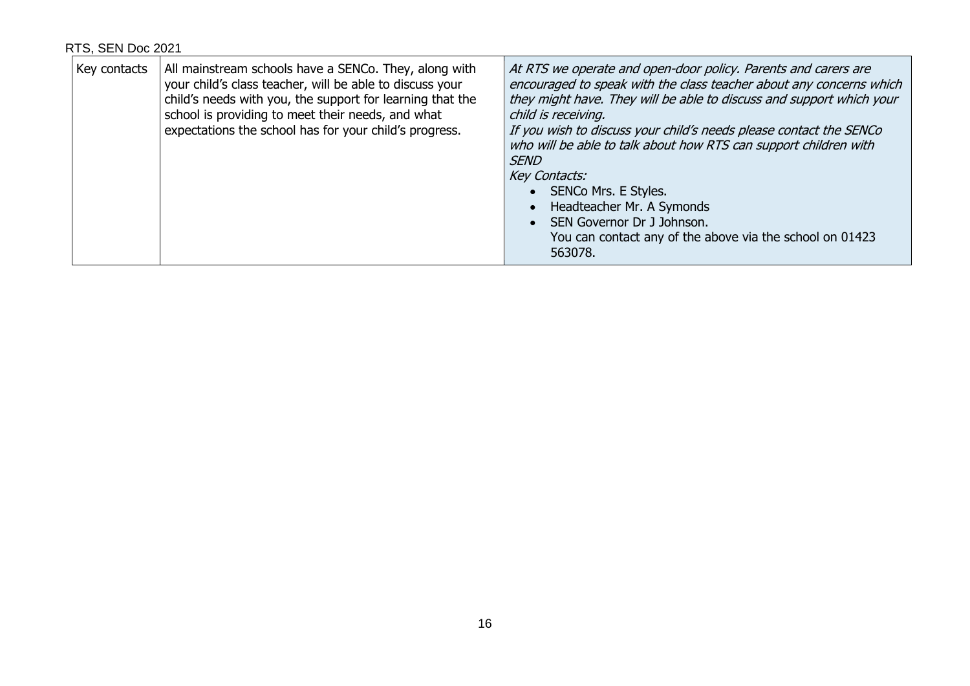| Key contacts | All mainstream schools have a SENCo. They, along with<br>your child's class teacher, will be able to discuss your<br>child's needs with you, the support for learning that the<br>school is providing to meet their needs, and what<br>expectations the school has for your child's progress. | At RTS we operate and open-door policy. Parents and carers are<br>encouraged to speak with the class teacher about any concerns which<br>they might have. They will be able to discuss and support which your<br>child is receiving.<br>If you wish to discuss your child's needs please contact the SENCo<br>who will be able to talk about how RTS can support children with<br><b>SEND</b><br>Key Contacts:<br>SENCo Mrs. E Styles.<br>Headteacher Mr. A Symonds<br>SEN Governor Dr J Johnson.<br>You can contact any of the above via the school on 01423<br>563078. |
|--------------|-----------------------------------------------------------------------------------------------------------------------------------------------------------------------------------------------------------------------------------------------------------------------------------------------|--------------------------------------------------------------------------------------------------------------------------------------------------------------------------------------------------------------------------------------------------------------------------------------------------------------------------------------------------------------------------------------------------------------------------------------------------------------------------------------------------------------------------------------------------------------------------|
|--------------|-----------------------------------------------------------------------------------------------------------------------------------------------------------------------------------------------------------------------------------------------------------------------------------------------|--------------------------------------------------------------------------------------------------------------------------------------------------------------------------------------------------------------------------------------------------------------------------------------------------------------------------------------------------------------------------------------------------------------------------------------------------------------------------------------------------------------------------------------------------------------------------|